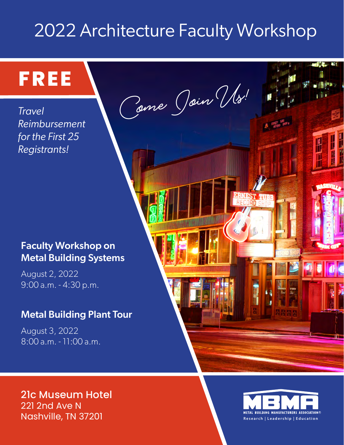# 2022 Architecture Faculty Workshop

**Come Join Us!**

### Faculty Workshop on Metal Building Systems

August 2, 2022 9:00 a.m. - 4:30 p.m.

**FREE**

*Reimbursement* 

*for the First 25* 

*Registrants!*

*Travel* 

### Metal Building Plant Tour

August 3, 2022 8:00 a.m. - 11:00 a.m.





**11. 4. 41.**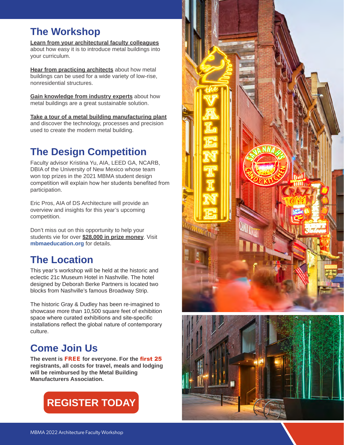### **The Workshop**

**Learn from your architectural faculty colleagues** about how easy it is to introduce metal buildings into your curriculum.

**Hear from practicing architects** about how metal buildings can be used for a wide variety of low-rise, nonresidential structures.

**Gain knowledge from industry experts** about how metal buildings are a great sustainable solution.

**Take a tour of a metal building manufacturing plant** and discover the technology, processes and precision used to create the modern metal building.

# **The Design Competition**

Faculty advisor Kristina Yu, AIA, LEED GA, NCARB, DBIA of the University of New Mexico whose team won top prizes in the 2021 MBMA student design competition will explain how her students benefited from participation.

Eric Pros, AIA of DS Architecture will provide an overview and insights for this year's upcoming competition.

Don't miss out on this opportunity to help your students vie for over **\$28,000 in prize money**. Visit **[mbmaeducation.org](http://mbmaeducation.org)** for details.

# **The Location**

This year's workshop will be held at the historic and eclectic 21c Museum Hotel in Nashville. The hotel designed by Deborah Berke Partners is located two blocks from Nashville's famous Broadway Strip.

The historic Gray & Dudley has been re-imagined to showcase more than 10,500 square feet of exhibition space where curated exhibitions and site-specific installations reflect the global nature of contemporary culture.

# **Come Join Us**

**The event is** FREE **for everyone. For the** first 25 **registrants, all costs for travel, meals and lodging will be reimbursed by the Metal Building Manufacturers Association.** 





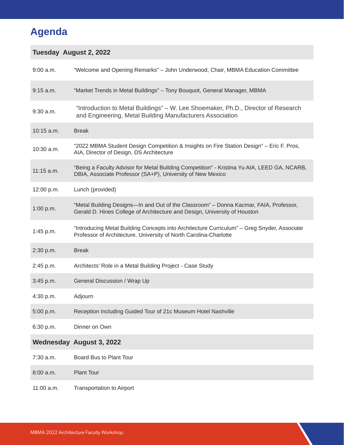# **Agenda**

### **Tuesday August 2, 2022**

| $9:00$ a.m. | "Welcome and Opening Remarks" - John Underwood, Chair, MBMA Education Committee                                                                                    |
|-------------|--------------------------------------------------------------------------------------------------------------------------------------------------------------------|
| $9:15$ a.m. | "Market Trends in Metal Buildings" - Tony Bouquot, General Manager, MBMA                                                                                           |
| $9:30$ a.m. | "Introduction to Metal Buildings" - W. Lee Shoemaker, Ph.D., Director of Research<br>and Engineering, Metal Building Manufacturers Association                     |
| 10:15 a.m.  | <b>Break</b>                                                                                                                                                       |
| 10:30 a.m.  | "2022 MBMA Student Design Competition & Insights on Fire Station Design" - Eric F. Pros,<br>AIA, Director of Design, DS Architecture                               |
| 11:15 a.m.  | "Being a Faculty Advisor for Metal Building Competition" - Kristina Yu AIA, LEED GA, NCARB,<br>DBIA, Associate Professor (SA+P), University of New Mexico          |
| 12:00 p.m.  | Lunch (provided)                                                                                                                                                   |
| 1:00 p.m.   | "Metal Building Designs-In and Out of the Classroom" - Donna Kacmar, FAIA, Professor,<br>Gerald D. Hines College of Architecture and Design, University of Houston |
| 1:45 p.m.   | "Introducing Metal Building Concepts into Architecture Curriculum" - Greg Snyder, Associate<br>Professor of Architecture, University of North Carolina-Charlotte   |
| 2:30 p.m.   | <b>Break</b>                                                                                                                                                       |
| 2:45 p.m.   | Architects' Role in a Metal Building Project - Case Study                                                                                                          |
| 3:45 p.m.   | General Discussion / Wrap Up                                                                                                                                       |
| 4:30 p.m.   | Adjourn                                                                                                                                                            |
| 5:00 p.m.   | Reception Including Guided Tour of 21c Museum Hotel Nashville                                                                                                      |
| 6:30 p.m.   | Dinner on Own                                                                                                                                                      |
|             | <b>Wednesday August 3, 2022</b>                                                                                                                                    |
| 7:30 a.m.   | Board Bus to Plant Tour                                                                                                                                            |
| $8:00$ a.m. | <b>Plant Tour</b>                                                                                                                                                  |
| 11:00 a.m.  | <b>Transportation to Airport</b>                                                                                                                                   |